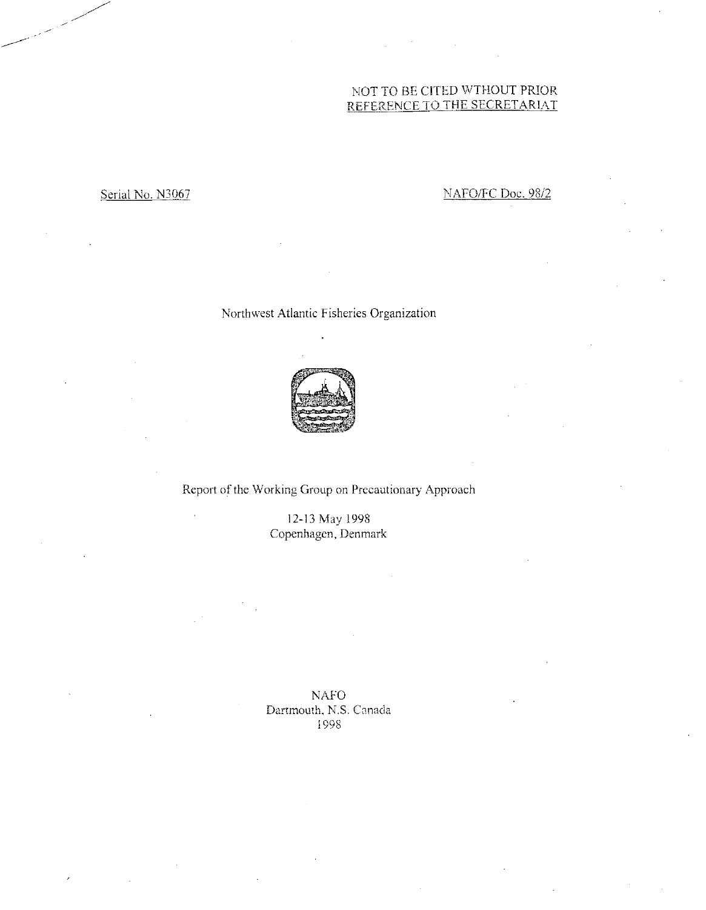# NOT TO BE CITED WTHOUT PRIOR REFERENCE TO THE SECRETARIAT

# Serial No. N3067 NAFO/FC Doc. 98/2

Northwest Atlantic Fisheries Organization



Report of the Working Group on Precautionary Approach

12-13 May 1998 Copenhagen, Denmark

NAFO Dartmouth, N.S. Canada 1998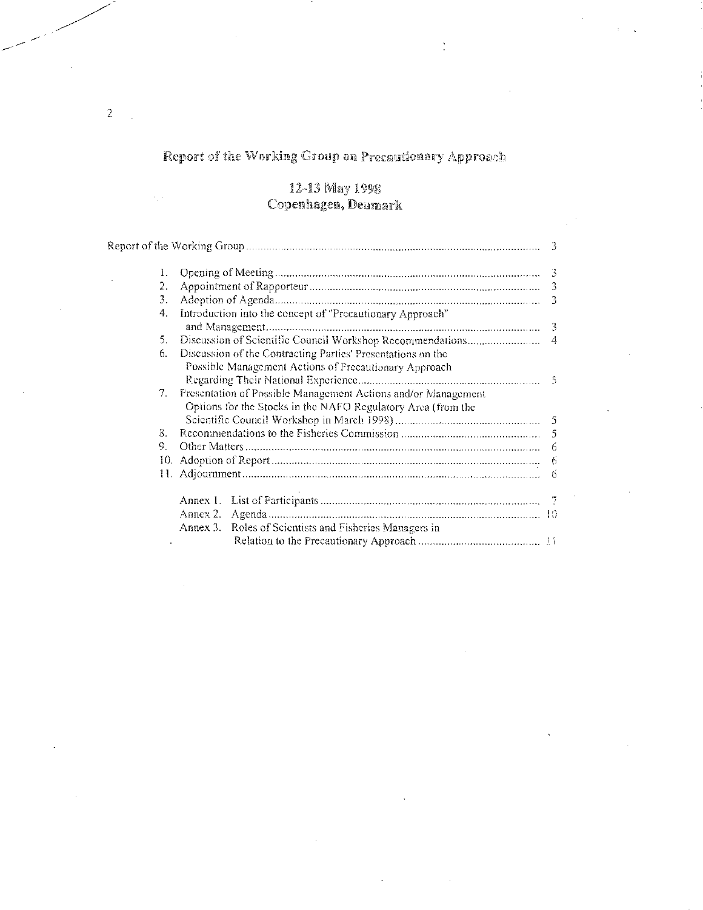# Report of the Working Group on Precautionary Approach

 $\ddot{\cdot}$ 

## 12-13 May 1998 Copenhagen, Denmark

| 1.                             |                                                                                                                               |    |
|--------------------------------|-------------------------------------------------------------------------------------------------------------------------------|----|
| 2.                             |                                                                                                                               |    |
| 3.                             |                                                                                                                               | -3 |
| 4.                             | Introduction into the concept of "Precautionary Approach"                                                                     |    |
| 5.                             |                                                                                                                               |    |
| 6.                             | Discussion of the Contracting Parties' Presentations on the<br>Possible Management Actions of Precautionary Approach          |    |
| $7_{\scriptscriptstyle{\sim}}$ | Presentation of Possible Management Actions and/or Management<br>Options for the Stocks in the NAFO Regulatory Area (from the |    |
| 8.                             |                                                                                                                               |    |
| 9.                             |                                                                                                                               | 6  |
|                                |                                                                                                                               |    |
|                                |                                                                                                                               | 6  |
|                                |                                                                                                                               |    |
|                                |                                                                                                                               |    |
|                                | Annex 3. Roles of Scientists and Fisheries Managers in                                                                        |    |
|                                |                                                                                                                               |    |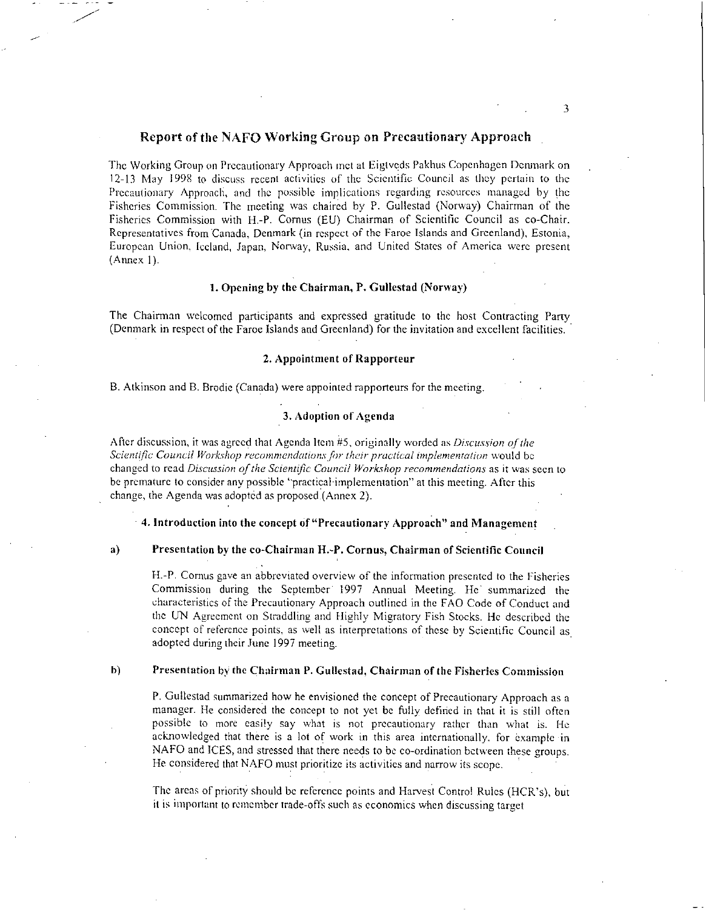### Report of the NAFO Working Croup on Precautionary Approach

The Working Group on Precautionary Approach net at Eigtveds Pakhus Copenhagen Denmark on 12-13 May 1998 to discuss recent activities of the Scientific Council as they pertain to the Precautionary Approach, and the possible implications regarding resources managed by the Fisheries Commission. The meeting was chaired by P. Gullestad (Norway) Chairman of the Fisheries Commission with H.-P. Cornus (EU) Chairman of Scientific Council as co-Chair. Representatives from Canada, Denmark (in respect of the Faroe Islands and Greenland), Estonia, European Union, Iceland, Japan, Norway, Russia. and United States of America were present (Annex I).

### 1. Opening by the Chairman, P. Gullestad (Norway)

The Chairman welcomed participants and expressed gratitude to the host Contracting Party . (Denmark in respect of the Faroe Islands and Greenland) for the invitation and excellent facilities.

### 2. Appointment of Rapporteur

B. Atkinson and B. Brodie (Canada) were appointed rapporteurs for the meeting.

### 3. Adoption of Agenda

After discussion, it was agreed that Agenda Item #5, originally worded as *Discussion of the Scientific Council Workshop recommendations ,fn their practical implementation* would be changed to read *Discussion of the Scientific Council Workshop recommendations* as it was seen to be premature to consider any possible "practical implementation" at this meeting. After this change, the Agenda was adopted as proposed (Annex 2).

4. Introduction into the concept of "Precautionary Approach" and Management

#### a) Presentation by the co-Chairman H.P. Cornus, Chairman of Scientific Council

H.-P. Comus gave an abbreviated overview of the information presented to the Fisheries Commission during the September 1997 Annual Meeting. He summarized the characteristics of the Precautionary Approach outlined in the FAO Code of Conduct and the UN Agreement on Straddling and Highly Migratory Fish Stocks. He described the concept of reference points, as well as interpretations of these by Scientific Council as adopted during their June 1997 meeting.

### h) Presentation by the Chairman P. Gullestad, Chairman of the Fisheries Commission

P. Gullestad summarized how he envisioned the concept of Precautionary Approach as a manager. He considered the concept to not yet be fully defined in that it is still often possible to more easily say what is not precautionary rather than what is. He acknowledged that there is a lot of work in this area internationally. for example in NAFO and ICES, and stressed that there needs to be co-ordination between these groups. He considered that NAFO must prioritize its activities and narrow its scope.

The areas of priority should be reference points and Harvest Control Rules (HCR's), but it is important to remember trade-offs such as economics when discussing target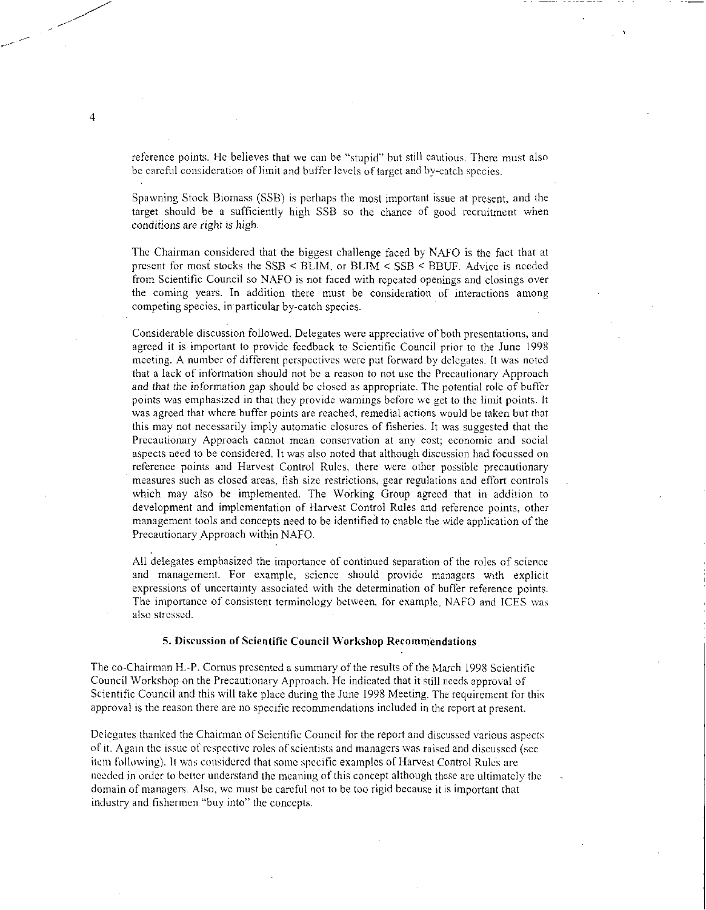reference points. He believes that we can be "stupid" but still cautious. There must also be careful consideration of limit and buffer levels of target and by-catch species.

Spawning Stock Biomass (SSB) is perhaps the most important issue at present, and the target should be a sufficiently high SSB so the chance of good recruitment when conditions are *right is high.* 

The Chairman considered that the biggest challenge faced by NAFO is the fact that at present for most stocks the SSB < SLIM, or SLIM < SSB < BBUF. Advice is needed from Scientific Council so NAFO is not faced with repeated openings and closings over the coming years. In addition there must be consideration of interactions among competing species, in particular by-catch species.

Considerable discussion followed. Delegates were appreciative of both presentations, and agreed it is important to provide feedback to Scientific Council prior to the June 1998 meeting. A number of different perspectives were put forward by delegates. It was noted that a lack of information should not be a reason to not use the Precautionary Approach and that *the* information gap should be closed as appropriate. The potential role of buffer points was emphasized in that they provide warnings before we get to the limit points. It was agreed that where buffer points are reached, remedial actions would be taken but that this may not necessarily imply automatic closures of fisheries. It was suggested that the Precautionary Approach cannot mean conservation at any cost; economic and social aspects need to be considered. It was also noted that although discussion had focussed on reference points and Harvest Control Rules, there were other possible precautionary measures such as closed areas, fish size restrictions, gear regulations and effort controls which may also be implemented. The Working Group agreed that in addition to development and implementation of Harvest Control Rules and reference points, other management tools and concepts need to be identified to enable the wide application of the Precautionary Approach within NAFO.

All delegates emphasized the importance of continued separation of the roles of science and management. For example, science should provide managers with explicit expressions of uncertainty associated with the determination of buffer reference points. The importance of consistent terminology between, for example, NAFO and ICES was also stressed.

### 5. Discussion of Scientific Council Workshop Recommendations

The co-Chairman H.-P. Cornus presented a summary of the results of the March 1998 Scientific Council Workshop on the Precautionary Approach. He indicated that it still needs approval of Scientific Council and this will take place during the June 1998 Meeting. The requirement for this approval is the reason there are no specific recommendations included in the report at present.

Delegates thanked the Chairman of Scientific Council for the report and discussed various aspects of it. Again the issue of respective roles of scientists and managers was raised and discussed (see item following). It was considered that some specific examples of Harvest Control Rul6s are needed in order to better understand the meaning of this concept although these are ultimately the domain of managers. Also, we must be careful not to be too rigid because it is important that industry and fishermen "buy into" the concepts.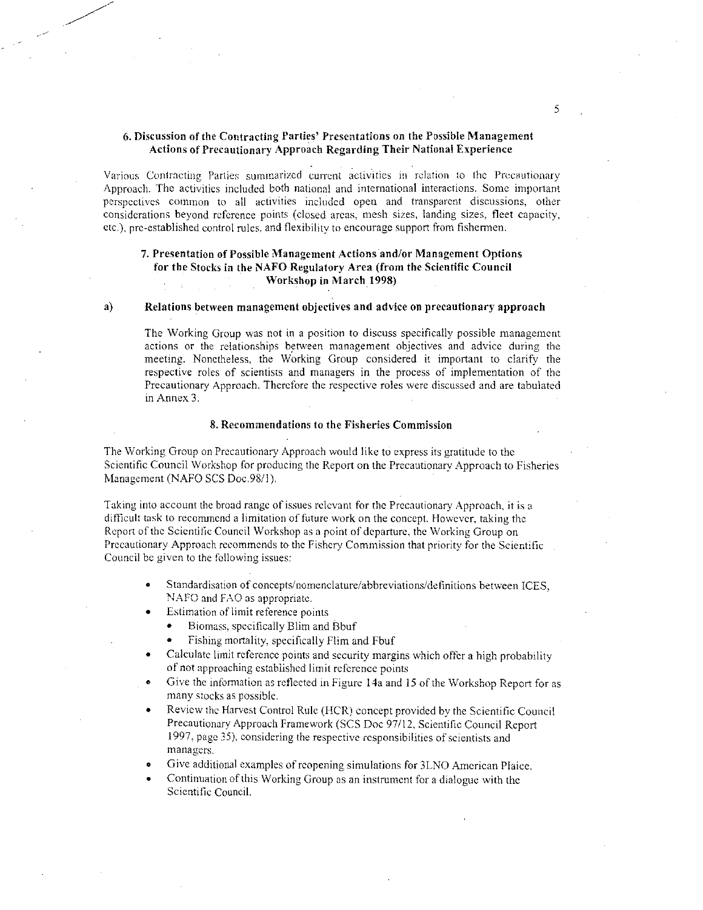### **6. Discussion of the Contracting Parties' Presentations on the Possible Management Actions of Precautionary Approach Regarding Their National Experience**

Various Contracting Parties summarized current activities in relation to the Precautionary Approach. The activities included both national and international interactions. Some important perspectives common to all activities included open and transparent discussions, other considerations beyond reference points (closed areas, mesh sizes, landing sizes, fleet capacity, etc.), pre-established control rules, and flexibility to encourage support from fishermen.

### **7. Presentation of Possible Management Actions and/or Management Options for the Stocks in the NAFO Regulatory Area (from the Scientific Council Workshop in March 1998)**

### **a) Relations between management objectives and advice on precautionary approach**

The Working Group was not in a position to discuss specifically possible management actions or the relationships between management objectives and advice during the meeting. Nonetheless, the Working Group considered it important to clarify the respective roles of scientists and managers in the process of implementation of the Precautionary Approach. Therefore the respective roles were discussed and are tabulated in Annex 3.

### **8. Recommendations to the Fisheries Commission**

The Working Group on Precautionary Approach would like to express its gratitude to the Scientific Council Workshop for producing the Report on the Precautionary Approach to Fisheries Management (NAFO SCS Doc.98/1).

Taking into account the broad range of issues relevant for the Precautionary Approach, it is a difficult task to recommend a limitation of future work on the concept. However, taking the Report of the Scientific Council Workshop as a point of departure, the Working Group on Precautionary Approach recommends to the Fishery Commission that priority for the Scientific Council be given to the following issues:

- Standardisation of concepts/nomenclature/abbreviations/definitions between ICES, NAFO and FAO as appropriate.
- Estimation of limit reference points
	- Biomass, specifically Blim and Bbuf
	- Fishing mortality, specifically Him and Fbuf
- Calculate limit reference points and security margins which offer a high probability of not approaching established limit reference points
- Give the information as reflected in Figure 14a and 15 of the Workshop Report for as many stocks as possible.
- Review the Harvest Control Rule (HCR) concept provided by the Scientific Council Precautionary Approach Framework (SCS Doc 97/12, Scientific Council Report 1997, page 35), considering the respective responsibilities of scientists and managers.
- Give additional examples of reopening simulations for 31-NO American Plaice.
- Continuation of this Working Group as an instrument for a dialogue with the Scientific Council.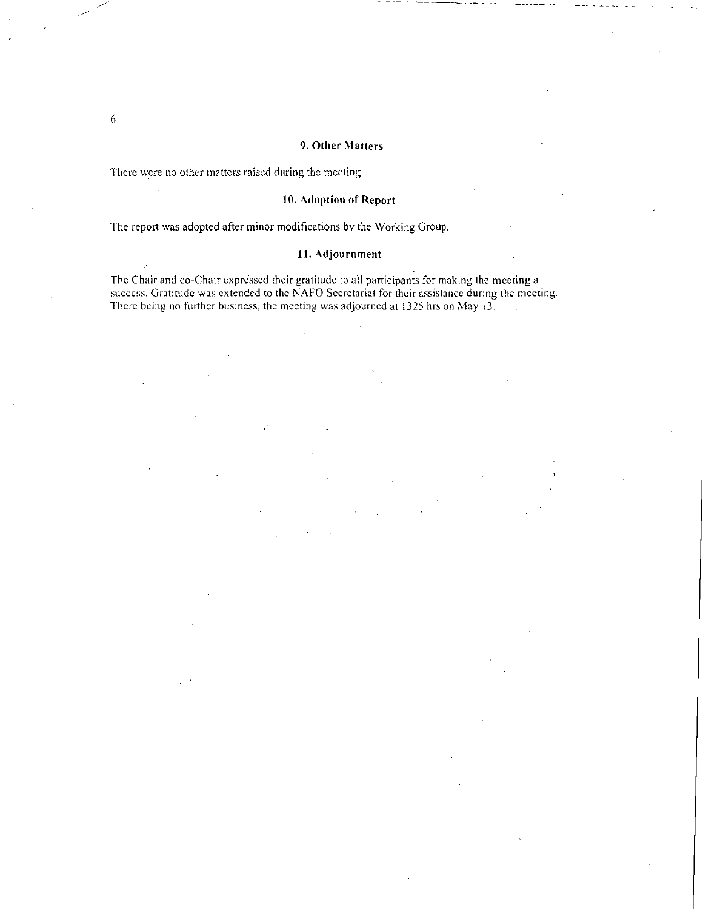### 9. Other Matters

There were no other matters raised during the meeting

### 10. Adoption of Report

The report was adopted after minor modifications by the Working Group.

### 11. Adjournment

The Chair and co-Chair expressed their gratitude to all participants for making the meeting a success. Gratitude was extended to the NAFO Secretariat for their assistance during the meeting. There being no further business, the meeting was adjourned at 1325 hrs on May 13.

 $\mathcal{L}^{\mathcal{L}}$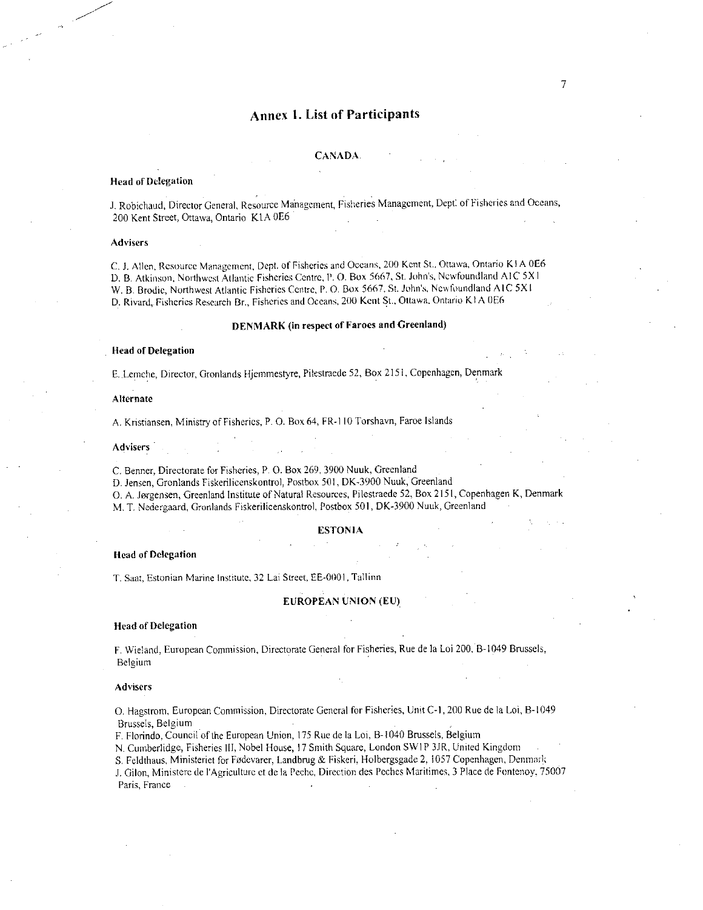# Annex 1. List of Participants

7

#### CANADA.

#### Head of Delegation

J. Robichaud, Director General, Resource Management, Fisheries Management, Dept: of Fisheries and Oceans, 200 Kent Street, Ottawa, Ontario KlA 0E6

#### **Advisers**

C. J. Allen, Resource Management, Dept. of Fisheries and Oceans, 200 Kent St., Ottawa, Ontario K I A 0E6 D. B. Atkinson, Northwest Atlantic Fisheries Centre, I'. O. Box 5667, St. John's, Newfoundland A1C 5X I W. B. Brodie, Northwest Atlantic Fisheries Centre, P.O. Box 5667, St. John's, Newfoundland A IC 5X I D. Rivard, Fisheries Research Br., Fisheries and Oceans, 200 Kent St., Ottawa. Ontario K! A 0E6

#### DENMARK (in respect of Faroes and Greenland)

#### Head of Delegation

E..Lemche, Director, Gronlands Hjemmestyre, Pilestraede 52, Box 2151, Copenhagen, Denmark

#### Alternate

A. Kristiansen, Ministry of Fisheries, P. O. Box 64, FR-I 10 Torshavn, Faroe Islands

#### Advisers

C. Benner, Directorate for Fisheries, P. 0. Box 269, 3900 Nuuk, Greenland

D.Jensen, Gronlands Fiskerilicenskontrol, Postbox 501, DK-3900 Nuuk, Greenland

0. A. Jorgensen, Greenland Institute of Natural Resources, Pilestraede 52, Box 2151, Copenhagen K, Denmark

M. T. Nedergaard, Gronlands Fiskerilicenskontrol, Postbox 501, DK-3900 Nuuk, Greenland •

#### ESTONIA

#### Head of Delegation

T. Saat, Estonian Marine Institute, 32 Lai Street, EE-0001, Tallinn

#### EUROPEAN UNION (EU)

#### Head of Delegation

F. Wieland, European Commission, Directorate General for Fisheries, Rue de la Loi 200, B-I049 Brussels, Belgium

#### Advisers

0. Hagstrom, European Commission, Directorate General for Fisheries, Unit C-1, 200 Rue de la Loi, B-1049 Brussels, Belgium

F. Florindo, Council of the European Union, 175 Rue de la Loi, B-1040 Brussels, Belgium

N. Cumberlidge, Fisheries III, Nobel House, 17 Smith Square, London SWIP 31R, United Kingdom .

S. Feldthaus, Ministeriet for Fodevarer, Landbrug & Fiskeri, Holbergsgade 2, 1057 Copenhagen, Denmark

J. Gilon, Ministere de l'Agriculture et de la Peche, Direction des Peches Maritimes, 3 Place de Fontenoy, 75007 Paris, France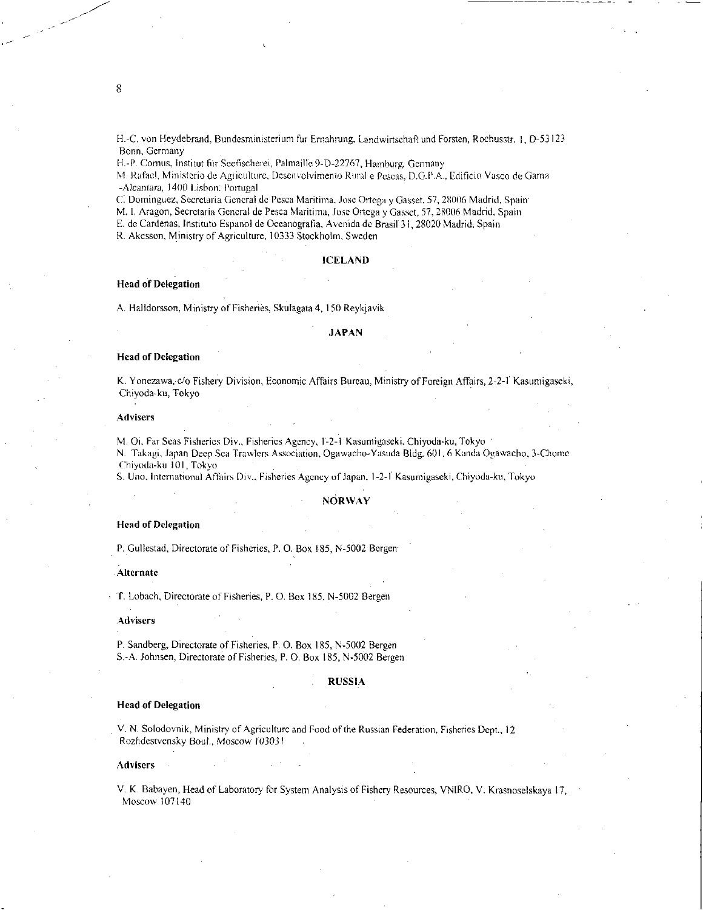H.-C. von Heydebrand, Bundesministerium fur Ernahrung, Landwirtschaft und Forsten, Rochusstr. 1, D-53123 Bonn, Germany

H.-P. Cornus, Institut für Seefischerei, Palmaille 9-D-22767, Hamburg, Germany

M. Rafael, Ministerio de Agriculture, Desenvolvimento Rural e Pcscas, D.G.P.A., Edificio Vasco de Gama -Alcaniara, 1400 Lisbon: Portugal

C. Dominguez, Secretaria General de Pesca Maritima. Jose Ortega y Gasset, 57, 28006 Madrid, Spain

M. I. Aragon, Secretaria General de Pesca Maritima, Jose Ortega y Gasset, 57, 28006 Madrid, Spain

E. de Cardenas, Instituto Espanol de Oceanografia, Avenida de Brasil 28020 Madrid, Spain

R. Akesson, Ministry of Agriculture, 10333 Stockholm; Sweden

#### **ICELAND**

### **Head of Delegation**

A. Halldorsson, Ministry of Fisheries, Skulagata 4, 150 Reykjavik

#### **JAPAN**

### **Head of Delegation**

K. Yonezawa, c/o Fishery Division, Economic Affairs Bureau, Ministry of Foreign Affairs, 2-2-1 Kasumigaseki, Chiyoda-ku, Tokyo

#### **Advisers**

M. Oi, Far Seas Fisheries Div., Fisheries Agency, I-2-1 Kasumigaseki, Chiyoda-ku, Tokyo-

N. Takagi, Japan Deep Sea Trawlers Association, Ogawacho-Yasuda Bldg. 601, 6 Kanda Ogawacho, 3-Chome Chiyoda-ku 101, Tokyo

S. Uno, **International** Affairs Div., Fisheries Agency of Japan, 1-24 Kasumigaseki, Chiyoda-ku, Tokyo

#### **• NORWAY**

#### **Head of Delegation**

**P.** Gullestad, Directorate of Fisheries, P. O. Box 185, N-5002 Bergen

#### **Alternate**

T. Lobaeh, Directorate of Fisheries, P. O. Box 185, N-5002 Bergen

#### **Advisers**

P. Sandberg, Directorate of Fisheries, P. **0.** Box 185, N-5002 Bergen S.-A. Johnsen, Directorate of Fisheries, P. O. Box 185, N-5002 Bergen

#### **RUSSIA**

#### **Head of Delegation**

V. N. Solodovnik, Ministry of Agriculture and Food of the Russian Federation, Fisheries Dept., **12**  Rozhdestvensky Boul., Moscow 103031

#### **Advisers**

V. K. Babayen, Head of Laboratory for System Analysis of Fishery Resources, VNIRO, V. Krasnoselskaya 17, Moscow 107140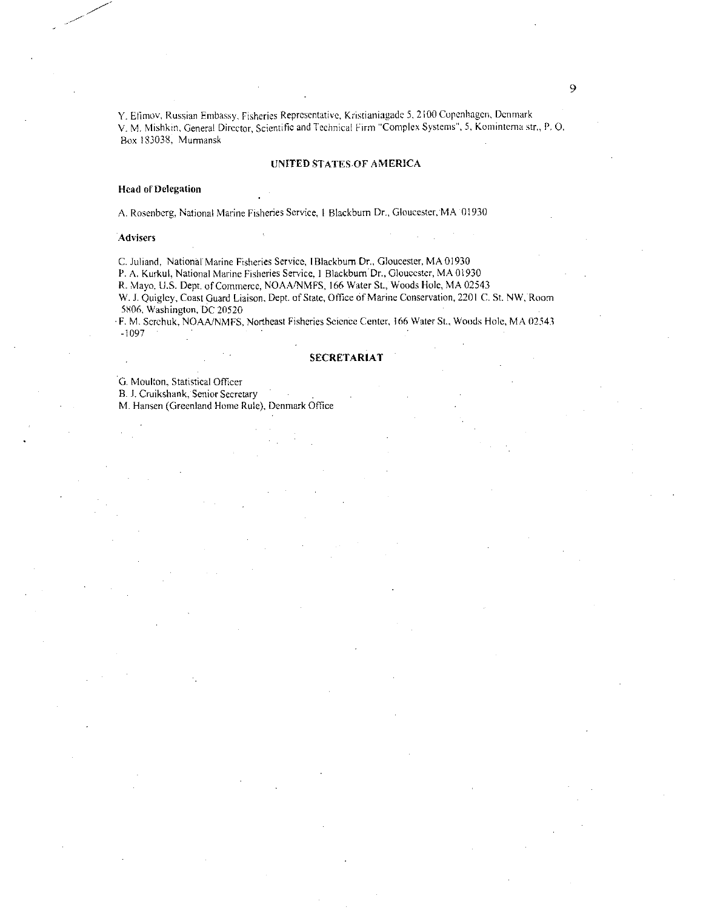Y. Efimov, Russian Embassy, Fisheries Representative, Kristianiagade 5, 2100 Copenhagen, Denmark V. M. Mishkin, General Director, Scientific and Technical Firm "Complex Systems", 5, Kominterna str., P. O. Box 133038, Murmansk

#### UNITED STATES OF AMERICA

#### Head of Delegation

A. Rosenberg, National Marine Fisheries Service, I Blackburn Dr., Gloucester, MA 01930

#### **Advisers**

C. Juhand, National Marine Fisheries Service, I Blackburn Dr., Gloucester, MA 01930 P. A. Kurkul, National Marine Fisheries Service, 1 Blackburn Dr., Gloucester, MA 01930

R. Mayo, U.S. Dept. of Commerce, NOAA/NMFS, 166 Water St., Woods Hole, MA 02543

W. J. Quigley, Coast Guard Liaison, Dept. of State, Office of Marine Conservation, 2201 C. St. NW, Room 5806, Washington, DC 20520

• F. M. Scrchuk, NOAA/NMFS, Northeast Fisheries Science Center, 166 Water St., Woods Hole, MA 02543 -1097

#### SECRETARIAT

G. Moulton, Statistical Officer

B. J. Cruikshank, Senior Secretary

M. Hansen (Greenland Home Rule), Denmark Office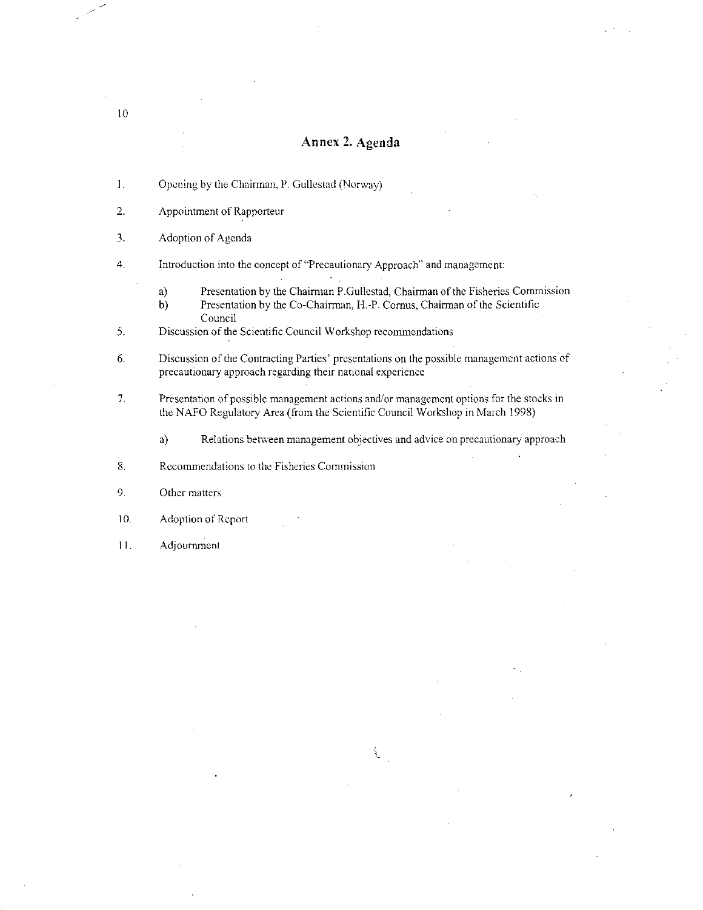# Annex 2. Agenda

- $1.$ Opening by the Chairman, P. Gullestad (Norway)
- 2. Appointment of Rapporteur
- 3. Adoption of Agenda
- 4. Introduction into the concept of "Precautionary Approach" and management
	- a) Presentation by the Chairman P.Gullestad, Chairman of the Fisheries Commission
	- b) Presentation by the Co-Chairman, H.-P. Cornus, Chairman of the Scientific Council
- 5. Discussion of the Scientific Council Workshop recommendations
- 6. Discussion of the Contracting Parties' presentations on the possible management actions of precautionary approach regarding their national experience
- 7. Presentation of possible management actions and/or management options for the stocks in the NAFO Regulatory Area (from the Scientific Council Workshop in March 1998)
	- a) Relations between management objectives and advice on precautionary approach
- 8. Recommendations to the Fisheries Commission
- 9. Other matters
- 10. Adoption of Report
- II. Adjournment